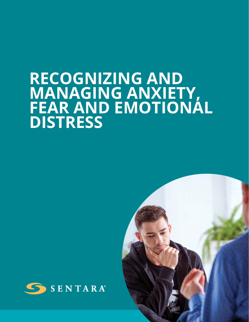# **RECOGNIZING AND MANAGING ANXIETY, FEAR AND EMOTIONAL DISTRESS**



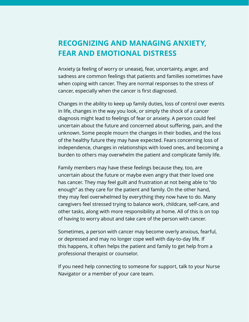## **RECOGNIZING AND MANAGING ANXIETY, FEAR AND EMOTIONAL DISTRESS**

Anxiety (a feeling of worry or unease), fear, uncertainty, anger, and sadness are common feelings that patients and families sometimes have when coping with cancer. They are normal responses to the stress of cancer, especially when the cancer is first diagnosed.

Changes in the ability to keep up family duties, loss of control over events in life, changes in the way you look, or simply the shock of a cancer diagnosis might lead to feelings of fear or anxiety. A person could feel uncertain about the future and concerned about suffering, pain, and the unknown. Some people mourn the changes in their bodies, and the loss of the healthy future they may have expected. Fears concerning loss of independence, changes in relationships with loved ones, and becoming a burden to others may overwhelm the patient and complicate family life.

Family members may have these feelings because they, too, are uncertain about the future or maybe even angry that their loved one has cancer. They may feel guilt and frustration at not being able to "do enough" as they care for the patient and family. On the other hand, they may feel overwhelmed by everything they now have to do. Many caregivers feel stressed trying to balance work, childcare, self-care, and other tasks, along with more responsibility at home. All of this is on top of having to worry about and take care of the person with cancer.

Sometimes, a person with cancer may become overly anxious, fearful, or depressed and may no longer cope well with day-to-day life. If this happens, it often helps the patient and family to get help from a professional therapist or counselor.

If you need help connecting to someone for support, talk to your Nurse Navigator or a member of your care team.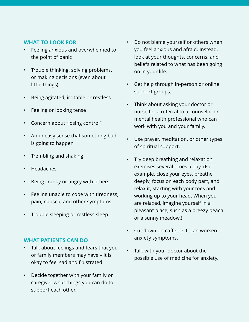### **WHAT TO LOOK FOR**

- Feeling anxious and overwhelmed to the point of panic
- Trouble thinking, solving problems, or making decisions (even about little things)
- Being agitated, irritable or restless
- Feeling or looking tense
- Concern about "losing control"
- An uneasy sense that something bad is going to happen
- Trembling and shaking
- Headaches
- Being cranky or angry with others
- Feeling unable to cope with tiredness, pain, nausea, and other symptoms
- Trouble sleeping or restless sleep

#### **WHAT PATIENTS CAN DO**

- Talk about feelings and fears that you or family members may have – it is okay to feel sad and frustrated.
- Decide together with your family or caregiver what things you can do to support each other.
- Do not blame yourself or others when you feel anxious and afraid. Instead, look at your thoughts, concerns, and beliefs related to what has been going on in your life.
- Get help through in-person or online support groups.
- Think about asking your doctor or nurse for a referral to a counselor or mental health professional who can work with you and your family.
- Use prayer, meditation, or other types of spiritual support.
- Try deep breathing and relaxation exercises several times a day. (For example, close your eyes, breathe deeply, focus on each body part, and relax it, starting with your toes and working up to your head. When you are relaxed, imagine yourself in a pleasant place, such as a breezy beach or a sunny meadow.)
- Cut down on caffeine. It can worsen anxiety symptoms.
- Talk with your doctor about the possible use of medicine for anxiety.